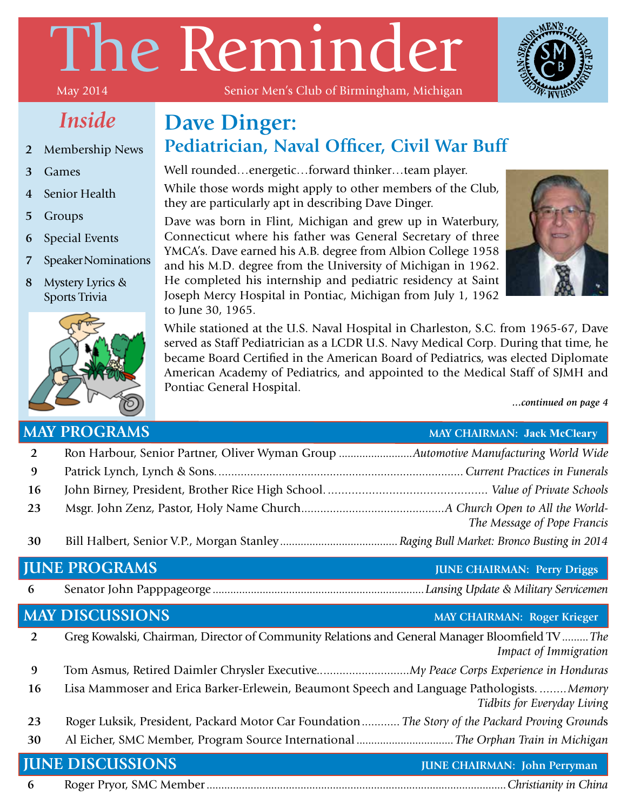# The Reminder

### *Inside*

#### **2** Membership News

- **3** Games
- **4** Senior Health
- **5** Groups
- **6** Special Events
- **7** Speaker Nominations
- **8** Mystery Lyrics & Sports Trivia



#### Senior Men's Club of Birmingham, Michigan

#### **Dave Dinger: Pediatrician, Naval Officer, Civil War Buff**

Well rounded…energetic…forward thinker…team player.

While those words might apply to other members of the Club, they are particularly apt in describing Dave Dinger.

Dave was born in Flint, Michigan and grew up in Waterbury, Connecticut where his father was General Secretary of three YMCA's. Dave earned his A.B. degree from Albion College 1958 and his M.D. degree from the University of Michigan in 1962. He completed his internship and pediatric residency at Saint Joseph Mercy Hospital in Pontiac, Michigan from July 1, 1962 to June 30, 1965.



While stationed at the U.S. Naval Hospital in Charleston, S.C. from 1965-67, Dave served as Staff Pediatrician as a LCDR U.S. Navy Medical Corp. During that time, he became Board Certified in the American Board of Pediatrics, was elected Diplomate American Academy of Pediatrics, and appointed to the Medical Staff of SJMH and Pontiac General Hospital.

*...continued on page 4*

#### **MAY PROGRAMS MAY CHAIRMAN: Jack McCleary**

|    | wan no chunaic                                                                      | <b>EVELT CHEMINIMENT.</b> GAUK FRUCTUALY |
|----|-------------------------------------------------------------------------------------|------------------------------------------|
| 2  | Ron Harbour, Senior Partner, Oliver Wyman Group Automotive Manufacturing World Wide |                                          |
| -9 |                                                                                     |                                          |
| 16 |                                                                                     |                                          |
| 23 |                                                                                     | The Message of Pope Francis              |
| 30 |                                                                                     |                                          |

#### **JUNE PROGRAMS JUNE CHAIRMAN: Perry Driggs**

**6** Senator John Papppageorge ........................................................................*Lansing Update & Military Servicemen*

#### **MAY DISCUSSIONS MAY CHAIRMAN: Roger Krieger**

|           | <b>JUNE DISCUSSIONS</b>                                                                         | <b>JUNE CHAIRMAN: John Perryman</b> |
|-----------|-------------------------------------------------------------------------------------------------|-------------------------------------|
| 30        |                                                                                                 |                                     |
| 23        | Roger Luksik, President, Packard Motor Car Foundation The Story of the Packard Proving Grounds  |                                     |
| <b>16</b> | Lisa Mammoser and Erica Barker-Erlewein, Beaumont Speech and Language PathologistsMemory        | Tidbits for Everyday Living         |
| 9         |                                                                                                 |                                     |
|           | Greg Kowalski, Chairman, Director of Community Relations and General Manager Bloomfield TV  The | Impact of Immigration               |

**6** Roger Pryor, SMC Member......................................................................................................*Christianity in China*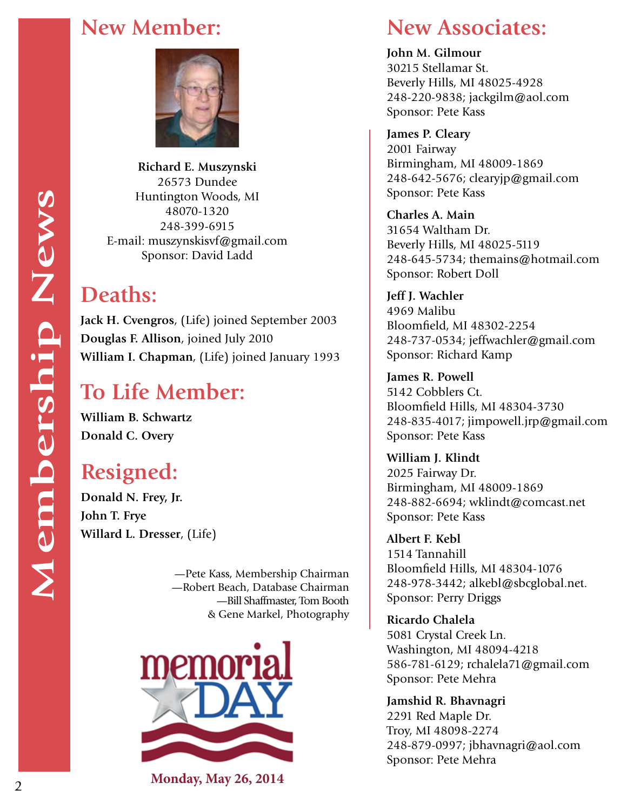

**Richard E. Muszynski** 26573 Dundee Huntington Woods, MI 48070-1320 248-399-6915 E-mail: muszynskisvf@gmail.com Sponsor: David Ladd

#### **Deaths:**

**Jack H. Cvengros**, (Life) joined September 2003 **Douglas F. Allison**, joined July 2010 **William I. Chapman**, (Life) joined January 1993

#### **To Life Member:**

**William B. Schwartz Donald C. Overy**

#### **Resigned:**

**Donald N. Frey, Jr. John T. Frye Willard L. Dresser**, (Life)

> —Pete Kass, Membership Chairman —Robert Beach, Database Chairman —Bill Shaffmaster, Tom Booth & Gene Markel, Photography



**Monday, May 26, 2014**

#### **New Member: New Associates:**

**John M. Gilmour** 30215 Stellamar St. Beverly Hills, MI 48025-4928 248-220-9838; jackgilm@aol.com Sponsor: Pete Kass

**James P. Cleary** 2001 Fairway Birmingham, MI 48009-1869 248-642-5676; clearyjp@gmail.com Sponsor: Pete Kass

**Charles A. Main** 31654 Waltham Dr. Beverly Hills, MI 48025-5119 248-645-5734; themains@hotmail.com Sponsor: Robert Doll

**Jeff J. Wachler** 4969 Malibu Bloomfield, MI 48302-2254 248-737-0534; jeffwachler@gmail.com Sponsor: Richard Kamp

**James R. Powell** 5142 Cobblers Ct. Bloomfield Hills, MI 48304-3730 248-835-4017; jimpowell.jrp@gmail.com Sponsor: Pete Kass

**William J. Klindt** 2025 Fairway Dr. Birmingham, MI 48009-1869 248-882-6694; wklindt@comcast.net Sponsor: Pete Kass

**Albert F. Kebl** 1514 Tannahill Bloomfield Hills, MI 48304-1076 248-978-3442; alkebl@sbcglobal.net. Sponsor: Perry Driggs

**Ricardo Chalela** 5081 Crystal Creek Ln. Washington, MI 48094-4218 586-781-6129; rchalela71@gmail.com Sponsor: Pete Mehra

**Jamshid R. Bhavnagri** 2291 Red Maple Dr. Troy, MI 48098-2274 248-879-0997; jbhavnagri@aol.com Sponsor: Pete Mehra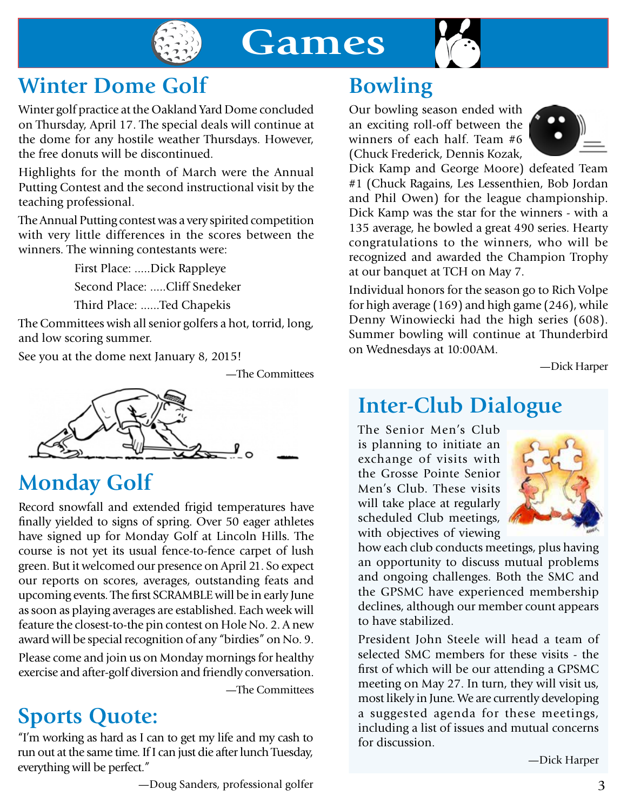

## **Games**



#### **Winter Dome Golf**

Winter golf practice at the Oakland Yard Dome concluded on Thursday, April 17. The special deals will continue at the dome for any hostile weather Thursdays. However, the free donuts will be discontinued.

Highlights for the month of March were the Annual Putting Contest and the second instructional visit by the teaching professional.

The Annual Putting contest was a very spirited competition with very little differences in the scores between the winners. The winning contestants were:

First Place: .....Dick Rappleye

Second Place: .....Cliff Snedeker

Third Place: ......Ted Chapekis

The Committees wish all senior golfers a hot, torrid, long, and low scoring summer.

See you at the dome next January 8, 2015!

—The Committees



#### **Monday Golf**

Record snowfall and extended frigid temperatures have finally yielded to signs of spring. Over 50 eager athletes have signed up for Monday Golf at Lincoln Hills. The course is not yet its usual fence-to-fence carpet of lush green. But it welcomed our presence on April 21. So expect our reports on scores, averages, outstanding feats and upcoming events. The first SCRAMBLE will be in early June as soon as playing averages are established. Each week will feature the closest-to-the pin contest on Hole No. 2. A new award will be special recognition of any "birdies" on No. 9.

Please come and join us on Monday mornings for healthy exercise and after-golf diversion and friendly conversation.

—The Committees

#### **Sports Quote:**

"I'm working as hard as I can to get my life and my cash to run out at the same time. If I can just die after lunch Tuesday, everything will be perfect."

#### **Bowling**

Our bowling season ended with an exciting roll-off between the winners of each half. Team #6 (Chuck Frederick, Dennis Kozak,



Dick Kamp and George Moore) defeated Team #1 (Chuck Ragains, Les Lessenthien, Bob Jordan and Phil Owen) for the league championship. Dick Kamp was the star for the winners - with a 135 average, he bowled a great 490 series. Hearty congratulations to the winners, who will be recognized and awarded the Champion Trophy at our banquet at TCH on May 7.

Individual honors for the season go to Rich Volpe for high average (169) and high game (246), while Denny Winowiecki had the high series (608). Summer bowling will continue at Thunderbird on Wednesdays at 10:00AM.

—Dick Harper

#### **Inter-Club Dialogue**

The Senior Men's Club is planning to initiate an exchange of visits with the Grosse Pointe Senior Men's Club. These visits will take place at regularly scheduled Club meetings, with objectives of viewing



how each club conducts meetings, plus having an opportunity to discuss mutual problems and ongoing challenges. Both the SMC and the GPSMC have experienced membership declines, although our member count appears to have stabilized.

President John Steele will head a team of selected SMC members for these visits - the first of which will be our attending a GPSMC meeting on May 27. In turn, they will visit us, most likely in June. We are currently developing a suggested agenda for these meetings, including a list of issues and mutual concerns for discussion.

—Dick Harper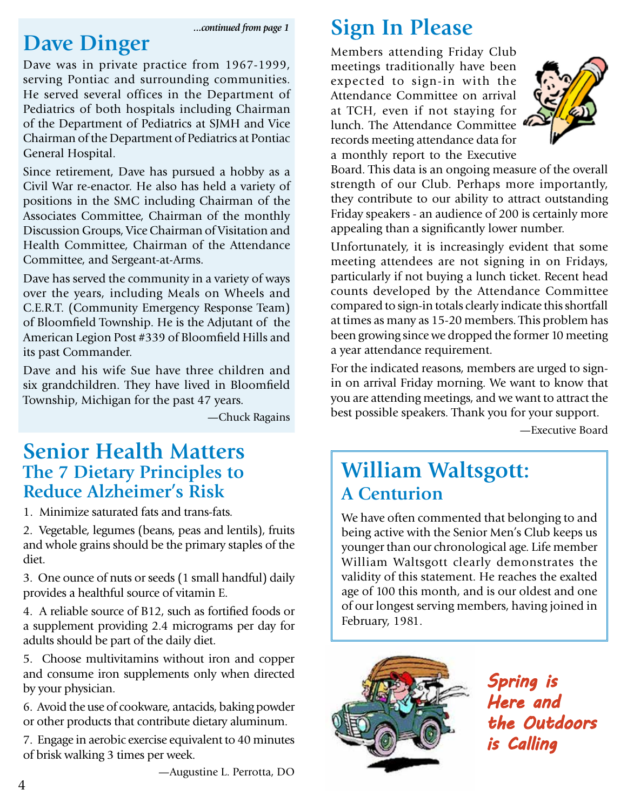*...continued from page 1*

#### **Dave Dinger**

Dave was in private practice from 1967-1999, serving Pontiac and surrounding communities. He served several offices in the Department of Pediatrics of both hospitals including Chairman of the Department of Pediatrics at SJMH and Vice Chairman of the Department of Pediatrics at Pontiac General Hospital.

Since retirement, Dave has pursued a hobby as a Civil War re-enactor. He also has held a variety of positions in the SMC including Chairman of the Associates Committee, Chairman of the monthly Discussion Groups, Vice Chairman of Visitation and Health Committee, Chairman of the Attendance Committee, and Sergeant-at-Arms.

Dave has served the community in a variety of ways over the years, including Meals on Wheels and C.E.R.T. (Community Emergency Response Team) of Bloomfield Township. He is the Adjutant of the American Legion Post #339 of Bloomfield Hills and its past Commander.

Dave and his wife Sue have three children and six grandchildren. They have lived in Bloomfield Township, Michigan for the past 47 years.

—Chuck Ragains

#### **Senior Health Matters The 7 Dietary Principles to Reduce Alzheimer's Risk**

1. Minimize saturated fats and trans-fats.

2. Vegetable, legumes (beans, peas and lentils), fruits and whole grains should be the primary staples of the diet.

3. One ounce of nuts or seeds (1 small handful) daily provides a healthful source of vitamin E.

4. A reliable source of B12, such as fortified foods or a supplement providing 2.4 micrograms per day for adults should be part of the daily diet.

5. Choose multivitamins without iron and copper and consume iron supplements only when directed by your physician.

6. Avoid the use of cookware, antacids, baking powder or other products that contribute dietary aluminum.

7. Engage in aerobic exercise equivalent to 40 minutes of brisk walking 3 times per week.

#### **Sign In Please**

Members attending Friday Club meetings traditionally have been expected to sign-in with the Attendance Committee on arrival at TCH, even if not staying for lunch. The Attendance Committee records meeting attendance data for a monthly report to the Executive



Board. This data is an ongoing measure of the overall strength of our Club. Perhaps more importantly, they contribute to our ability to attract outstanding Friday speakers - an audience of 200 is certainly more appealing than a significantly lower number.

Unfortunately, it is increasingly evident that some meeting attendees are not signing in on Fridays, particularly if not buying a lunch ticket. Recent head counts developed by the Attendance Committee compared to sign-in totals clearly indicate this shortfall at times as many as 15-20 members. This problem has been growing since we dropped the former 10 meeting a year attendance requirement.

For the indicated reasons, members are urged to signin on arrival Friday morning. We want to know that you are attending meetings, and we want to attract the best possible speakers. Thank you for your support.

—Executive Board

#### **William Waltsgott: A Centurion**

We have often commented that belonging to and being active with the Senior Men's Club keeps us younger than our chronological age. Life member William Waltsgott clearly demonstrates the validity of this statement. He reaches the exalted age of 100 this month, and is our oldest and one of our longest serving members, having joined in February, 1981.



*Spring is Here and the Outdoors is Calling*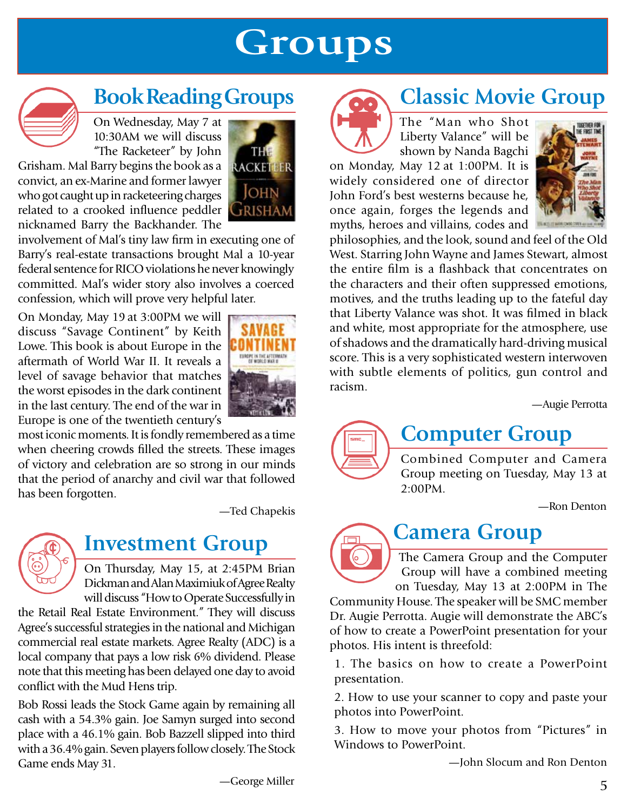# **Groups**

### **Book Reading Groups**

On Wednesday, May 7 at 10:30AM we will discuss "The Racketeer" by John

Grisham. Mal Barry begins the book as a convict, an ex-Marine and former lawyer who got caught up in racketeering charges related to a crooked influence peddler nicknamed Barry the Backhander. The



involvement of Mal's tiny law firm in executing one of Barry's real-estate transactions brought Mal a 10-year federal sentence for RICO violations he never knowingly committed. Mal's wider story also involves a coerced confession, which will prove very helpful later.

On Monday, May 19 at 3:00PM we will discuss "Savage Continent" by Keith Lowe. This book is about Europe in the aftermath of World War II. It reveals a level of savage behavior that matches the worst episodes in the dark continent in the last century. The end of the war in Europe is one of the twentieth century's



most iconic moments. It is fondly remembered as a time when cheering crowds filled the streets. These images of victory and celebration are so strong in our minds that the period of anarchy and civil war that followed has been forgotten.

—Ted Chapekis



#### **Investment Group**

On Thursday, May 15, at 2:45PM Brian Dickman and Alan Maximiuk of Agree Realty will discuss "How to Operate Successfully in

the Retail Real Estate Environment." They will discuss Agree's successful strategies in the national and Michigan commercial real estate markets. Agree Realty (ADC) is a local company that pays a low risk 6% dividend. Please note that this meeting has been delayed one day to avoid conflict with the Mud Hens trip.

Bob Rossi leads the Stock Game again by remaining all cash with a 54.3% gain. Joe Samyn surged into second place with a 46.1% gain. Bob Bazzell slipped into third with a 36.4% gain. Seven players follow closely. The Stock Game ends May 31.



#### **Classic Movie Group**

The "Man who Shot Liberty Valance" will be shown by Nanda Bagchi

on Monday, May 12 at 1:00PM. It is widely considered one of director John Ford's best westerns because he, once again, forges the legends and myths, heroes and villains, codes and



philosophies, and the look, sound and feel of the Old West. Starring John Wayne and James Stewart, almost the entire film is a flashback that concentrates on the characters and their often suppressed emotions, motives, and the truths leading up to the fateful day that Liberty Valance was shot. It was filmed in black and white, most appropriate for the atmosphere, use of shadows and the dramatically hard-driving musical score. This is a very sophisticated western interwoven with subtle elements of politics, gun control and racism.

—Augie Perrotta

### **Computer Group**

Combined Computer and Camera Group meeting on Tuesday, May 13 at 2:00PM.

—Ron Denton

### **Camera Group**

The Camera Group and the Computer Group will have a combined meeting on Tuesday, May 13 at 2:00PM in The

Community House. The speaker will be SMC member Dr. Augie Perrotta. Augie will demonstrate the ABC's of how to create a PowerPoint presentation for your photos. His intent is threefold:

1. The basics on how to create a PowerPoint presentation.

2. How to use your scanner to copy and paste your photos into PowerPoint.

3. How to move your photos from "Pictures" in Windows to PowerPoint.

—John Slocum and Ron Denton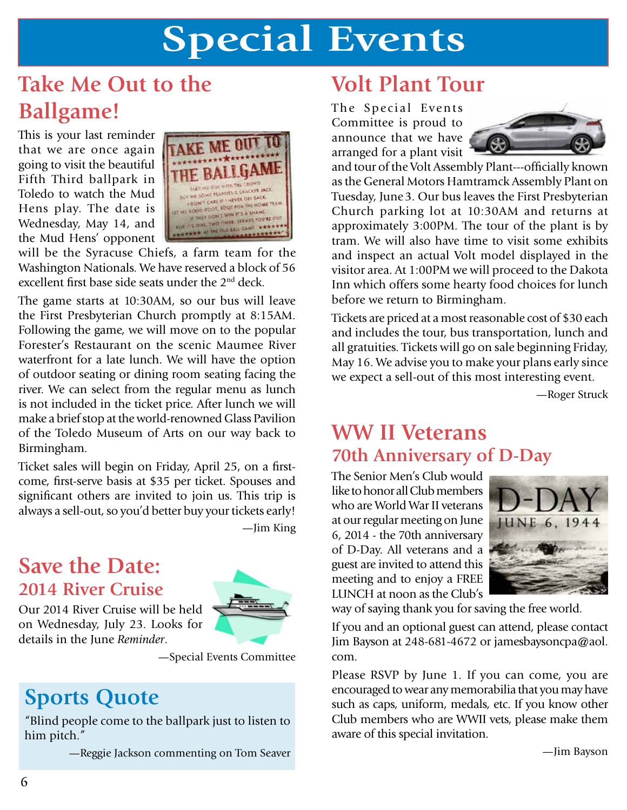# **Special Events**

#### **Take Me Out to the Ballgame!**

This is your last reminder that we are once again going to visit the beautiful Fifth Third ballpark in Toledo to watch the Mud Hens play. The date is Wednesday, May 14, and the Mud Hens' opponent



will be the Syracuse Chiefs, a farm team for the Washington Nationals. We have reserved a block of 56 excellent first base side seats under the 2nd deck.

The game starts at 10:30AM, so our bus will leave the First Presbyterian Church promptly at 8:15AM. Following the game, we will move on to the popular Forester's Restaurant on the scenic Maumee River waterfront for a late lunch. We will have the option of outdoor seating or dining room seating facing the river. We can select from the regular menu as lunch is not included in the ticket price. After lunch we will make a brief stop at the world-renowned Glass Pavilion of the Toledo Museum of Arts on our way back to Birmingham.

Ticket sales will begin on Friday, April 25, on a firstcome, first-serve basis at \$35 per ticket. Spouses and significant others are invited to join us. This trip is always a sell-out, so you'd better buy your tickets early!

—Jim King

#### **Save the Date: 2014 River Cruise**

Our 2014 River Cruise will be held on Wednesday, July 23. Looks for details in the June *Reminder*.



—Special Events Committee

#### **Sports Quote**

"Blind people come to the ballpark just to listen to him pitch."

—Reggie Jackson commenting on Tom Seaver

#### **Volt Plant Tour**

The Special Events Committee is proud to announce that we have arranged for a plant visit



and tour of the Volt Assembly Plant---officially known as the General Motors Hamtramck Assembly Plant on Tuesday, June3. Our bus leaves the First Presbyterian Church parking lot at 10:30AM and returns at approximately 3:00PM. The tour of the plant is by tram. We will also have time to visit some exhibits and inspect an actual Volt model displayed in the visitor area. At 1:00PM we will proceed to the Dakota Inn which offers some hearty food choices for lunch before we return to Birmingham.

Tickets are priced at a most reasonable cost of \$30 each and includes the tour, bus transportation, lunch and all gratuities. Tickets will go on sale beginning Friday, May 16. We advise you to make your plans early since we expect a sell-out of this most interesting event.

—Roger Struck

#### **WW II Veterans 70th Anniversary of D-Day**

The Senior Men's Club would like to honor all Club members who are World War II veterans at our regular meeting on June 6, 2014 - the 70th anniversary of D-Day. All veterans and a guest are invited to attend this meeting and to enjoy a FREE LUNCH at noon as the Club's



way of saying thank you for saving the free world.

If you and an optional guest can attend, please contact Jim Bayson at 248-681-4672 or jamesbaysoncpa@aol. com.

Please RSVP by June 1. If you can come, you are encouraged to wear any memorabilia that you may have such as caps, uniform, medals, etc. If you know other Club members who are WWII vets, please make them aware of this special invitation.

—Jim Bayson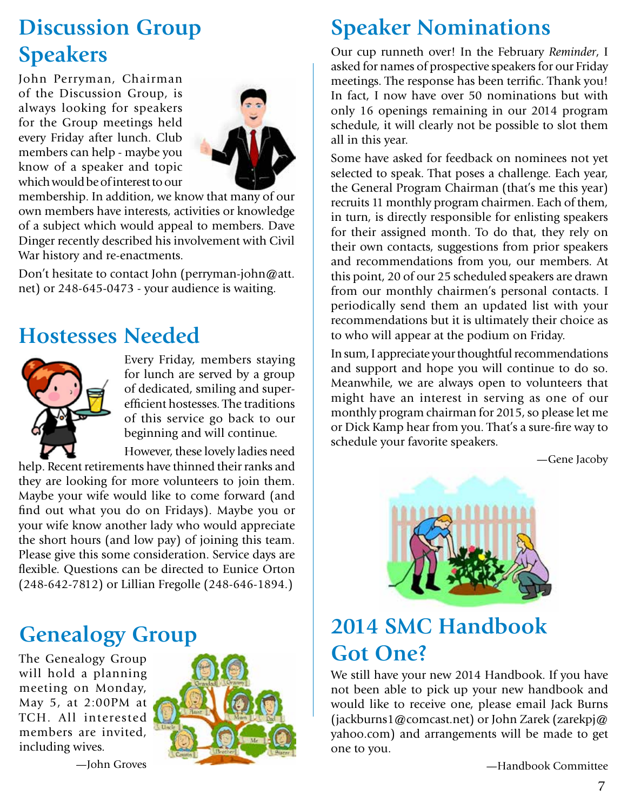#### **Discussion Group Speakers**

John Perryman, Chairman of the Discussion Group, is always looking for speakers for the Group meetings held every Friday after lunch. Club members can help - maybe you know of a speaker and topic which would be of interest to our



membership. In addition, we know that many of our own members have interests, activities or knowledge of a subject which would appeal to members. Dave Dinger recently described his involvement with Civil War history and re-enactments.

Don't hesitate to contact John (perryman-john@att. net) or 248-645-0473 - your audience is waiting.

#### **Hostesses Needed**



Every Friday, members staying for lunch are served by a group of dedicated, smiling and superefficient hostesses. The traditions of this service go back to our beginning and will continue.

However, these lovely ladies need help. Recent retirements have thinned their ranks and

they are looking for more volunteers to join them. Maybe your wife would like to come forward (and find out what you do on Fridays). Maybe you or your wife know another lady who would appreciate the short hours (and low pay) of joining this team. Please give this some consideration. Service days are flexible. Questions can be directed to Eunice Orton (248-642-7812) or Lillian Fregolle (248-646-1894.)

#### **Genealogy Group**

The Genealogy Group will hold a planning meeting on Monday, May 5, at 2:00PM at TCH. All interested members are invited, including wives.





#### **Speaker Nominations**

Our cup runneth over! In the February *Reminder*, I asked for names of prospective speakers for our Friday meetings. The response has been terrific. Thank you! In fact, I now have over 50 nominations but with only 16 openings remaining in our 2014 program schedule, it will clearly not be possible to slot them all in this year.

Some have asked for feedback on nominees not yet selected to speak. That poses a challenge. Each year, the General Program Chairman (that's me this year) recruits 11 monthly program chairmen. Each of them, in turn, is directly responsible for enlisting speakers for their assigned month. To do that, they rely on their own contacts, suggestions from prior speakers and recommendations from you, our members. At this point, 20 of our 25 scheduled speakers are drawn from our monthly chairmen's personal contacts. I periodically send them an updated list with your recommendations but it is ultimately their choice as to who will appear at the podium on Friday.

In sum, I appreciate your thoughtful recommendations and support and hope you will continue to do so. Meanwhile, we are always open to volunteers that might have an interest in serving as one of our monthly program chairman for 2015, so please let me or Dick Kamp hear from you. That's a sure-fire way to schedule your favorite speakers.

—Gene Jacoby



#### **2014 SMC Handbook Got One?**

We still have your new 2014 Handbook. If you have not been able to pick up your new handbook and would like to receive one, please email Jack Burns (jackburns1@comcast.net) or John Zarek (zarekpj@ yahoo.com) and arrangements will be made to get one to you.

—Handbook Committee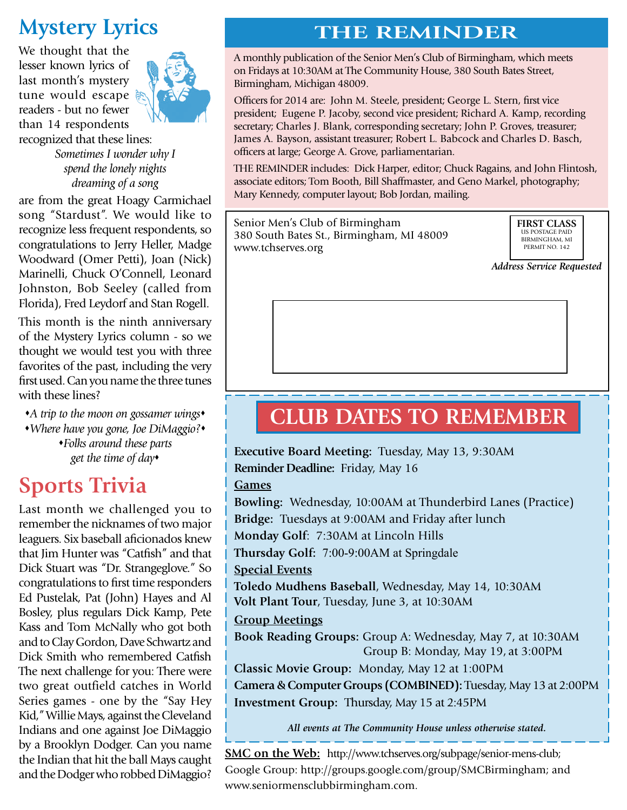#### **Mystery Lyrics**

We thought that the lesser known lyrics of last month's mystery tune would escape readers - but no fewer than 14 respondents recognized that these lines:



*Sometimes I wonder why I spend the lonely nights dreaming of a song*

are from the great Hoagy Carmichael song "Stardust". We would like to recognize less frequent respondents, so congratulations to Jerry Heller, Madge Woodward (Omer Petti), Joan (Nick) Marinelli, Chuck O'Connell, Leonard Johnston, Bob Seeley (called from Florida), Fred Leydorf and Stan Rogell.

This month is the ninth anniversary of the Mystery Lyrics column - so we thought we would test you with three favorites of the past, including the very first used. Can you name the three tunes with these lines?

*A trip to the moon on gossamer wings Where have you gone, Joe DiMaggio? Folks around these parts get the time of day*

#### **Sports Trivia**

Last month we challenged you to remember the nicknames of two major leaguers. Six baseball aficionados knew that Jim Hunter was "Catfish" and that Dick Stuart was "Dr. Strangeglove." So congratulations to first time responders Ed Pustelak, Pat (John) Hayes and Al Bosley, plus regulars Dick Kamp, Pete Kass and Tom McNally who got both and to Clay Gordon, Dave Schwartz and Dick Smith who remembered Catfish The next challenge for you: There were two great outfield catches in World Series games - one by the "Say Hey Kid," Willie Mays, against the Cleveland Indians and one against Joe DiMaggio by a Brooklyn Dodger. Can you name the Indian that hit the ball Mays caught and the Dodger who robbed DiMaggio?

#### **THE REMINDER**

A monthly publication of the Senior Men's Club of Birmingham, which meets on Fridays at 10:30AM at The Community House, 380 South Bates Street, Birmingham, Michigan 48009.

Officers for 2014 are: John M. Steele, president; George L. Stern, first vice president; Eugene P. Jacoby, second vice president; Richard A. Kamp, recording secretary; Charles J. Blank, corresponding secretary; John P. Groves, treasurer; James A. Bayson, assistant treasurer; Robert L. Babcock and Charles D. Basch, officers at large; George A. Grove, parliamentarian.

THE REMINDER includes: Dick Harper, editor; Chuck Ragains, and John Flintosh, associate editors; Tom Booth, Bill Shaffmaster, and Geno Markel, photography; Mary Kennedy, computer layout; Bob Jordan, mailing.

Senior Men's Club of Birmingham 380 South Bates St., Birmingham, MI 48009 www.tchserves.org

**FIRST CLASS**  US POSTAGE PAID BIRMINGHAM, MI PERMIT NO. 142

*Address Service Requested*

#### **CLUB DATES TO REMEMBER**

**Executive Board Meeting:** Tuesday, May 13, 9:30AM **Reminder Deadline:** Friday, May 16 **Games Bowling:** Wednesday, 10:00AM at Thunderbird Lanes (Practice) **Bridge:** Tuesdays at 9:00AM and Friday after lunch **Monday Golf**: 7:30AM at Lincoln Hills

**Thursday Golf:** 7:00-9:00AM at Springdale

**Special Events**

**Toledo Mudhens Baseball**, Wednesday, May 14, 10:30AM **Volt Plant Tour**, Tuesday, June 3, at 10:30AM

**Group Meetings**

**Book Reading Groups:** Group A: Wednesday, May 7, at 10:30AM Group B: Monday, May 19, at 3:00PM

**Classic Movie Group:** Monday, May 12 at 1:00PM **Camera & Computer Groups (COMBINED):** Tuesday, May 13 at 2:00PM **Investment Group:** Thursday, May 15 at 2:45PM

*All events at The Community House unless otherwise stated.*

**SMC on the Web:** http://www.tchserves.org/subpage/senior-mens-club; Google Group: http://groups.google.com/group/SMCBirmingham; and www.seniormensclubbirmingham.com.